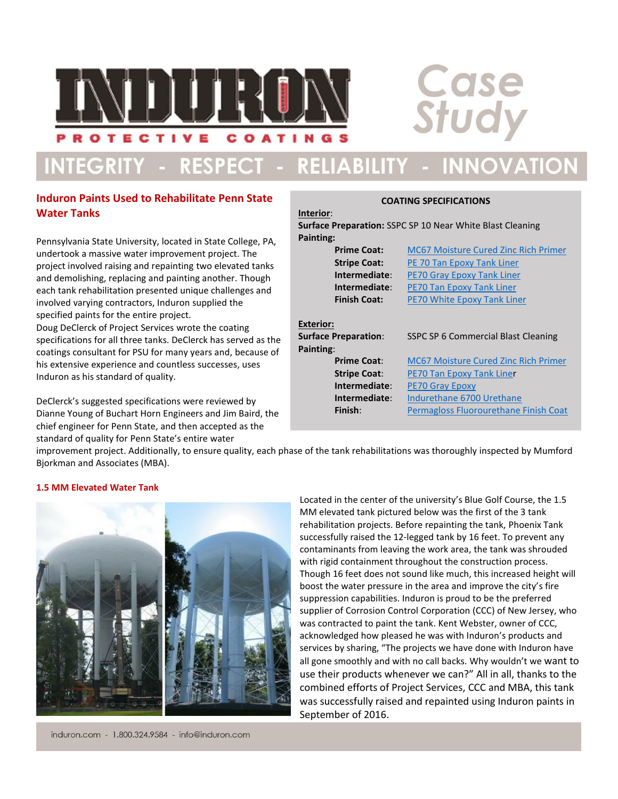

# INTEGRITY - RESPECT - RELIABILITY - INNOVATION

# **Induron Paints Used to Rehabilitate Penn State Water Tanks**

Pennsylvania State University, located in State College, PA, undertook a massive water improvement project. The project involved raising and repainting two elevated tanks and demolishing, replacing and painting another. Though each tank rehabilitation presented unique challenges and involved varying contractors, Induron supplied the specified paints for the entire project.

Doug DeClerck of Project Services wrote the coating specifications for all three tanks. DeClerck has served as the coatings consultant for PSU for many years and, because of his extensive experience and countless successes, uses Induron as his standard of quality.

DeClerck's suggested specifications were reviewed by Dianne Young of Buchart Horn Engineers and Jim Baird, the chief engineer for Penn State, and then accepted as the standard of quality for Penn State's entire water

# **COATING SPECIFICATIONS Interior**: **Surface Preparation:** SSPC SP 10 Near White Blast Cleaning **Painting: Prime Coat:** [MC67 Moisture Cured Zinc Rich Primer](http://www.induron.com/uploads/Indurazinc%20MC67%20Tech%20Data%281%29.pdf) **Stripe Coat:** [PE 70 Tan Epoxy Tank Liner](http://www.induron.com/wp-content/uploads/2015/01/PE-70-Tech-Data.pdf) **Intermediate**: [PE70 Gray Epoxy Tank Liner](http://www.induron.com/wp-content/uploads/2015/01/PE-70-Tech-Data.pdf) **Intermediate**: [PE70 Tan Epoxy Tank Liner](http://www.induron.com/wp-content/uploads/2015/01/PE-70-Tech-Data.pdf) **Finish Coat:** [PE70 White Epoxy Tank Liner](http://www.induron.com/wp-content/uploads/2015/01/PE-70-Tech-Data.pdf) **Exterior: Surface Preparation**: SSPC SP 6 Commercial Blast Cleaning **Painting**: **Prime Coat:** [MC67 Moisture Cured Zinc Rich Primer](http://www.induron.com/uploads/Indurazinc%20MC67%20Tech%20Data%281%29.pdf) **Stripe Coat**: [PE70 Tan Epoxy Tank Liner](http://www.induron.com/wp-content/uploads/2015/01/PE-70-Tech-Data.pdf) **Intermediate**: [PE70 Gray Epoxy](http://www.induron.com/wp-content/uploads/2015/01/PE-70-Tech-Data.pdf) **Intermediate**: [Indurethane 6700 Urethane](http://www.induron.com/uploads/6700%20Flat%284%29.pdf) **Finish:** [Permagloss Fluorourethane Finish Coat](http://www.induron.com/wp-content/uploads/2015/01/Perma-Gloss-Flourourethane-Data-Sheet.pdf)

**Case**<br>Study

improvement project. Additionally, to ensure quality, each phase of the tank rehabilitations was thoroughly inspected by Mumford Bjorkman and Associates (MBA).

#### **1.5 MM Elevated Water Tank**

induron.com - 1.800.324.9584 - info@induron.com

Located in the center of the university's Blue Golf Course, the 1.5 MM elevated tank pictured below was the first of the 3 tank rehabilitation projects. Before repainting the tank, Phoenix Tank successfully raised the 12-legged tank by 16 feet. To prevent any contaminants from leaving the work area, the tank was shrouded with rigid containment throughout the construction process. Though 16 feet does not sound like much, this increased height will boost the water pressure in the area and improve the city's fire suppression capabilities. Induron is proud to be the preferred supplier of Corrosion Control Corporation (CCC) of New Jersey, who was contracted to paint the tank. Kent Webster, owner of CCC, acknowledged how pleased he was with Induron's products and services by sharing, "The projects we have done with Induron have all gone smoothly and with no call backs. Why wouldn't we want to use their products whenever we can?" All in all, thanks to the combined efforts of Project Services, CCC and MBA, this tank was successfully raised and repainted using Induron paints in September of 2016.